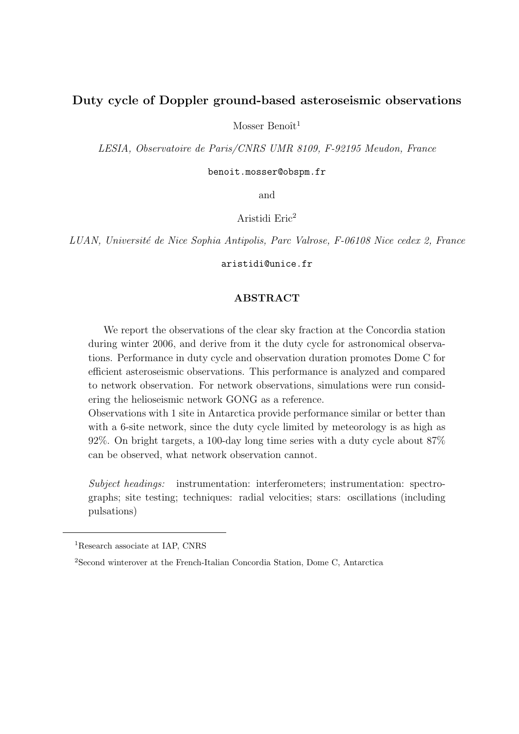# Duty cycle of Doppler ground-based asteroseismic observations

Mosser Benoît<sup>1</sup>

LESIA, Observatoire de Paris/CNRS UMR 8109, F-92195 Meudon, France

benoit.mosser@obspm.fr

and

Aristidi Eric<sup>2</sup>

LUAN, Université de Nice Sophia Antipolis, Parc Valrose, F-06108 Nice cedex 2, France

aristidi@unice.fr

# ABSTRACT

We report the observations of the clear sky fraction at the Concordia station during winter 2006, and derive from it the duty cycle for astronomical observations. Performance in duty cycle and observation duration promotes Dome C for efficient asteroseismic observations. This performance is analyzed and compared to network observation. For network observations, simulations were run considering the helioseismic network GONG as a reference.

Observations with 1 site in Antarctica provide performance similar or better than with a 6-site network, since the duty cycle limited by meteorology is as high as 92%. On bright targets, a 100-day long time series with a duty cycle about 87% can be observed, what network observation cannot.

Subject headings: instrumentation: interferometers; instrumentation: spectrographs; site testing; techniques: radial velocities; stars: oscillations (including pulsations)

<sup>&</sup>lt;sup>1</sup>Research associate at IAP, CNRS

<sup>2</sup>Second winterover at the French-Italian Concordia Station, Dome C, Antarctica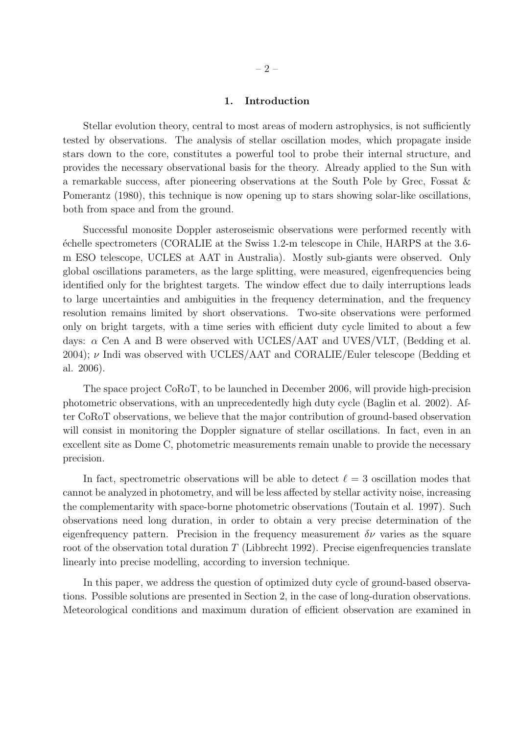# 1. Introduction

Stellar evolution theory, central to most areas of modern astrophysics, is not sufficiently tested by observations. The analysis of stellar oscillation modes, which propagate inside stars down to the core, constitutes a powerful tool to probe their internal structure, and provides the necessary observational basis for the theory. Already applied to the Sun with a remarkable success, after pioneering observations at the South Pole by Grec, Fossat & Pomerantz (1980), this technique is now opening up to stars showing solar-like oscillations, both from space and from the ground.

Successful monosite Doppler asteroseismic observations were performed recently with ´echelle spectrometers (CORALIE at the Swiss 1.2-m telescope in Chile, HARPS at the 3.6 m ESO telescope, UCLES at AAT in Australia). Mostly sub-giants were observed. Only global oscillations parameters, as the large splitting, were measured, eigenfrequencies being identified only for the brightest targets. The window effect due to daily interruptions leads to large uncertainties and ambiguities in the frequency determination, and the frequency resolution remains limited by short observations. Two-site observations were performed only on bright targets, with a time series with efficient duty cycle limited to about a few days:  $\alpha$  Cen A and B were observed with UCLES/AAT and UVES/VLT, (Bedding et al. 2004);  $\nu$  Indi was observed with UCLES/AAT and CORALIE/Euler telescope (Bedding et al. 2006).

The space project CoRoT, to be launched in December 2006, will provide high-precision photometric observations, with an unprecedentedly high duty cycle (Baglin et al. 2002). After CoRoT observations, we believe that the major contribution of ground-based observation will consist in monitoring the Doppler signature of stellar oscillations. In fact, even in an excellent site as Dome C, photometric measurements remain unable to provide the necessary precision.

In fact, spectrometric observations will be able to detect  $\ell = 3$  oscillation modes that cannot be analyzed in photometry, and will be less affected by stellar activity noise, increasing the complementarity with space-borne photometric observations (Toutain et al. 1997). Such observations need long duration, in order to obtain a very precise determination of the eigenfrequency pattern. Precision in the frequency measurement  $\delta \nu$  varies as the square root of the observation total duration  $T$  (Libbrecht 1992). Precise eigenfrequencies translate linearly into precise modelling, according to inversion technique.

In this paper, we address the question of optimized duty cycle of ground-based observations. Possible solutions are presented in Section 2, in the case of long-duration observations. Meteorological conditions and maximum duration of efficient observation are examined in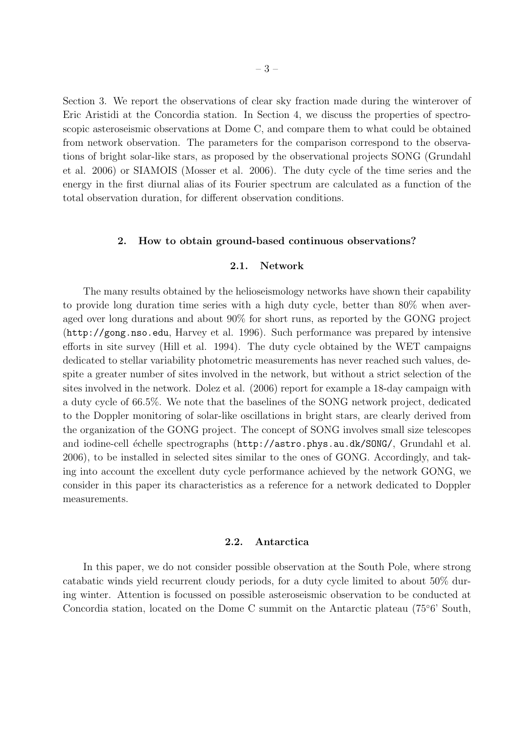Section 3. We report the observations of clear sky fraction made during the winterover of Eric Aristidi at the Concordia station. In Section 4, we discuss the properties of spectroscopic asteroseismic observations at Dome C, and compare them to what could be obtained from network observation. The parameters for the comparison correspond to the observations of bright solar-like stars, as proposed by the observational projects SONG (Grundahl et al. 2006) or SIAMOIS (Mosser et al. 2006). The duty cycle of the time series and the energy in the first diurnal alias of its Fourier spectrum are calculated as a function of the total observation duration, for different observation conditions.

### 2. How to obtain ground-based continuous observations?

### 2.1. Network

The many results obtained by the helioseismology networks have shown their capability to provide long duration time series with a high duty cycle, better than 80% when averaged over long durations and about 90% for short runs, as reported by the GONG project (http://gong.nso.edu, Harvey et al. 1996). Such performance was prepared by intensive efforts in site survey (Hill et al. 1994). The duty cycle obtained by the WET campaigns dedicated to stellar variability photometric measurements has never reached such values, despite a greater number of sites involved in the network, but without a strict selection of the sites involved in the network. Dolez et al. (2006) report for example a 18-day campaign with a duty cycle of 66.5%. We note that the baselines of the SONG network project, dedicated to the Doppler monitoring of solar-like oscillations in bright stars, are clearly derived from the organization of the GONG project. The concept of SONG involves small size telescopes and iodine-cell échelle spectrographs (http://astro.phys.au.dk/SONG/, Grundahl et al. 2006), to be installed in selected sites similar to the ones of GONG. Accordingly, and taking into account the excellent duty cycle performance achieved by the network GONG, we consider in this paper its characteristics as a reference for a network dedicated to Doppler measurements.

### 2.2. Antarctica

In this paper, we do not consider possible observation at the South Pole, where strong catabatic winds yield recurrent cloudy periods, for a duty cycle limited to about 50% during winter. Attention is focussed on possible asteroseismic observation to be conducted at Concordia station, located on the Dome C summit on the Antarctic plateau (75◦6' South,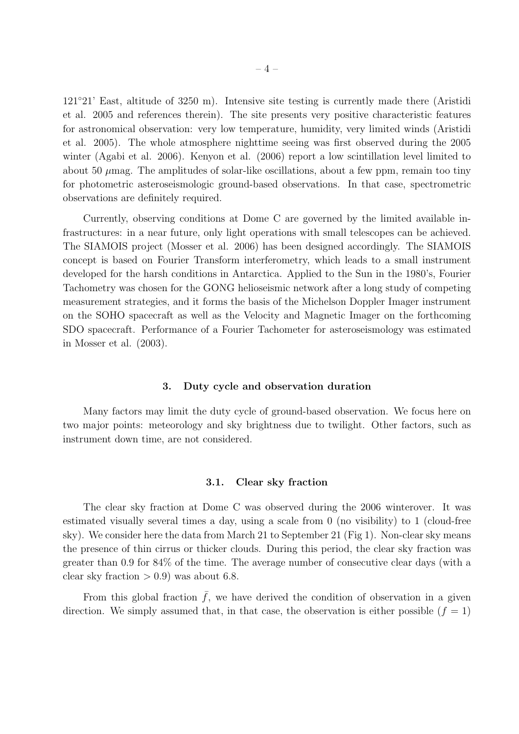121◦21' East, altitude of 3250 m). Intensive site testing is currently made there (Aristidi et al. 2005 and references therein). The site presents very positive characteristic features for astronomical observation: very low temperature, humidity, very limited winds (Aristidi et al. 2005). The whole atmosphere nighttime seeing was first observed during the 2005 winter (Agabi et al. 2006). Kenyon et al. (2006) report a low scintillation level limited to about 50  $\mu$ mag. The amplitudes of solar-like oscillations, about a few ppm, remain too tiny for photometric asteroseismologic ground-based observations. In that case, spectrometric observations are definitely required.

Currently, observing conditions at Dome C are governed by the limited available infrastructures: in a near future, only light operations with small telescopes can be achieved. The SIAMOIS project (Mosser et al. 2006) has been designed accordingly. The SIAMOIS concept is based on Fourier Transform interferometry, which leads to a small instrument developed for the harsh conditions in Antarctica. Applied to the Sun in the 1980's, Fourier Tachometry was chosen for the GONG helioseismic network after a long study of competing measurement strategies, and it forms the basis of the Michelson Doppler Imager instrument on the SOHO spacecraft as well as the Velocity and Magnetic Imager on the forthcoming SDO spacecraft. Performance of a Fourier Tachometer for asteroseismology was estimated in Mosser et al. (2003).

### 3. Duty cycle and observation duration

Many factors may limit the duty cycle of ground-based observation. We focus here on two major points: meteorology and sky brightness due to twilight. Other factors, such as instrument down time, are not considered.

### 3.1. Clear sky fraction

The clear sky fraction at Dome C was observed during the 2006 winterover. It was estimated visually several times a day, using a scale from 0 (no visibility) to 1 (cloud-free sky). We consider here the data from March 21 to September 21 (Fig 1). Non-clear sky means the presence of thin cirrus or thicker clouds. During this period, the clear sky fraction was greater than 0.9 for 84% of the time. The average number of consecutive clear days (with a clear sky fraction  $> 0.9$ ) was about 6.8.

From this global fraction  $\bar{f}$ , we have derived the condition of observation in a given direction. We simply assumed that, in that case, the observation is either possible  $(f = 1)$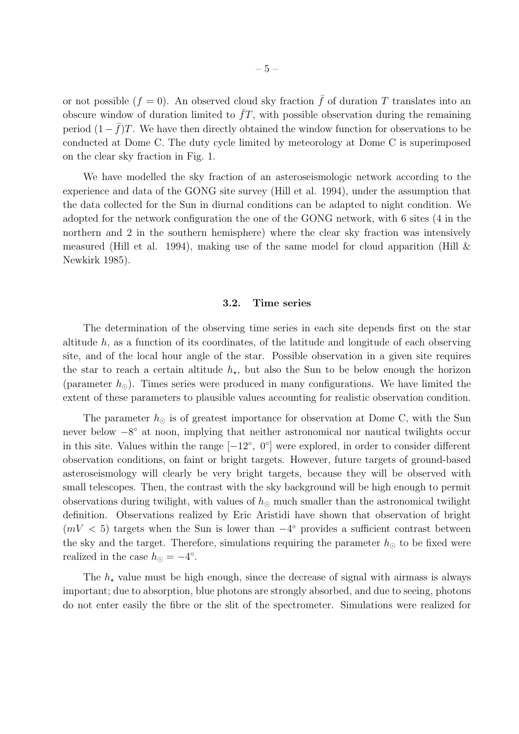or not possible  $(f = 0)$ . An observed cloud sky fraction  $\bar{f}$  of duration T translates into an obscure window of duration limited to  $\bar{f}T$ , with possible observation during the remaining period  $(1 - \bar{f})T$ . We have then directly obtained the window function for observations to be conducted at Dome C. The duty cycle limited by meteorology at Dome C is superimposed on the clear sky fraction in Fig. 1.

We have modelled the sky fraction of an asteroseismologic network according to the experience and data of the GONG site survey (Hill et al. 1994), under the assumption that the data collected for the Sun in diurnal conditions can be adapted to night condition. We adopted for the network configuration the one of the GONG network, with 6 sites (4 in the northern and 2 in the southern hemisphere) where the clear sky fraction was intensively measured (Hill et al. 1994), making use of the same model for cloud apparition (Hill  $\&$ Newkirk 1985).

### 3.2. Time series

The determination of the observing time series in each site depends first on the star altitude  $h$ , as a function of its coordinates, of the latitude and longitude of each observing site, and of the local hour angle of the star. Possible observation in a given site requires the star to reach a certain altitude  $h<sub>\star</sub>$ , but also the Sun to be below enough the horizon (parameter  $h_{\odot}$ ). Times series were produced in many configurations. We have limited the extent of these parameters to plausible values accounting for realistic observation condition.

The parameter  $h_{\odot}$  is of greatest importance for observation at Dome C, with the Sun never below  $-8^{\circ}$  at noon, implying that neither astronomical nor nautical twilights occur in this site. Values within the range  $[-12^{\circ}, 0^{\circ}]$  were explored, in order to consider different observation conditions, on faint or bright targets. However, future targets of ground-based asteroseismology will clearly be very bright targets, because they will be observed with small telescopes. Then, the contrast with the sky background will be high enough to permit observations during twilight, with values of  $h_{\odot}$  much smaller than the astronomical twilight definition. Observations realized by Eric Aristidi have shown that observation of bright  $(mV < 5)$  targets when the Sun is lower than  $-4^{\circ}$  provides a sufficient contrast between the sky and the target. Therefore, simulations requiring the parameter  $h_{\odot}$  to be fixed were realized in the case  $h_{\odot} = -4^{\circ}$ .

The  $h<sub>\star</sub>$  value must be high enough, since the decrease of signal with airmass is always important; due to absorption, blue photons are strongly absorbed, and due to seeing, photons do not enter easily the fibre or the slit of the spectrometer. Simulations were realized for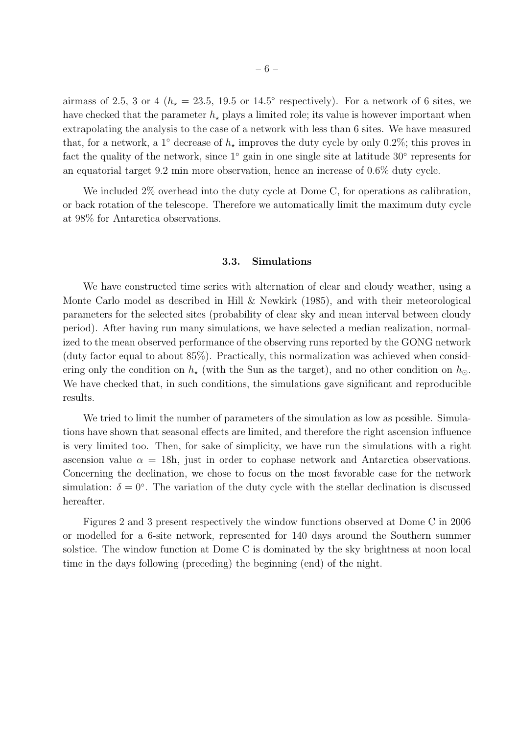airmass of 2.5, 3 or 4 ( $h<sub>\star</sub> = 23.5, 19.5$  or 14.5° respectively). For a network of 6 sites, we have checked that the parameter  $h<sub>\star</sub>$  plays a limited role; its value is however important when extrapolating the analysis to the case of a network with less than 6 sites. We have measured that, for a network, a 1° decrease of  $h<sub>\star</sub>$  improves the duty cycle by only 0.2%; this proves in fact the quality of the network, since 1◦ gain in one single site at latitude 30◦ represents for an equatorial target 9.2 min more observation, hence an increase of 0.6% duty cycle.

We included 2\% overhead into the duty cycle at Dome C, for operations as calibration, or back rotation of the telescope. Therefore we automatically limit the maximum duty cycle at 98% for Antarctica observations.

# 3.3. Simulations

We have constructed time series with alternation of clear and cloudy weather, using a Monte Carlo model as described in Hill & Newkirk (1985), and with their meteorological parameters for the selected sites (probability of clear sky and mean interval between cloudy period). After having run many simulations, we have selected a median realization, normalized to the mean observed performance of the observing runs reported by the GONG network (duty factor equal to about 85%). Practically, this normalization was achieved when considering only the condition on  $h_{\star}$  (with the Sun as the target), and no other condition on  $h_{\odot}$ . We have checked that, in such conditions, the simulations gave significant and reproducible results.

We tried to limit the number of parameters of the simulation as low as possible. Simulations have shown that seasonal effects are limited, and therefore the right ascension influence is very limited too. Then, for sake of simplicity, we have run the simulations with a right ascension value  $\alpha = 18h$ , just in order to cophase network and Antarctica observations. Concerning the declination, we chose to focus on the most favorable case for the network simulation:  $\delta = 0^{\circ}$ . The variation of the duty cycle with the stellar declination is discussed hereafter.

Figures 2 and 3 present respectively the window functions observed at Dome C in 2006 or modelled for a 6-site network, represented for 140 days around the Southern summer solstice. The window function at Dome C is dominated by the sky brightness at noon local time in the days following (preceding) the beginning (end) of the night.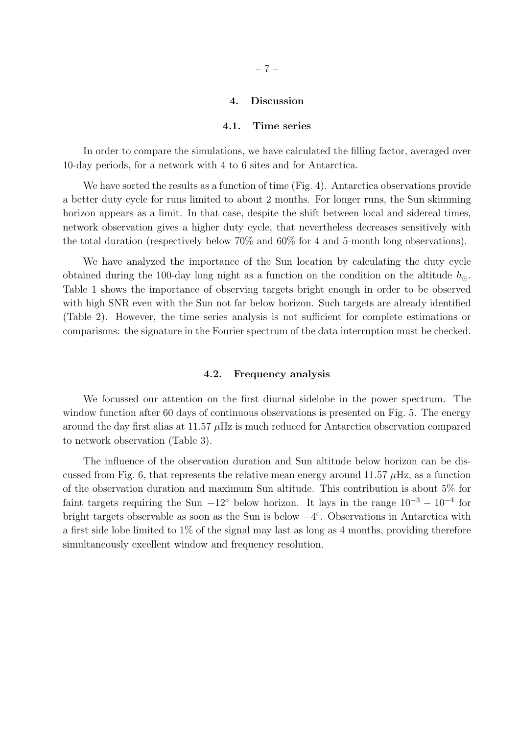## 4. Discussion

#### 4.1. Time series

In order to compare the simulations, we have calculated the filling factor, averaged over 10-day periods, for a network with 4 to 6 sites and for Antarctica.

We have sorted the results as a function of time (Fig. 4). Antarctica observations provide a better duty cycle for runs limited to about 2 months. For longer runs, the Sun skimming horizon appears as a limit. In that case, despite the shift between local and sidereal times, network observation gives a higher duty cycle, that nevertheless decreases sensitively with the total duration (respectively below 70% and 60% for 4 and 5-month long observations).

We have analyzed the importance of the Sun location by calculating the duty cycle obtained during the 100-day long night as a function on the condition on the altitude  $h_{\odot}$ . Table 1 shows the importance of observing targets bright enough in order to be observed with high SNR even with the Sun not far below horizon. Such targets are already identified (Table 2). However, the time series analysis is not sufficient for complete estimations or comparisons: the signature in the Fourier spectrum of the data interruption must be checked.

### 4.2. Frequency analysis

We focussed our attention on the first diurnal sidelobe in the power spectrum. The window function after 60 days of continuous observations is presented on Fig. 5. The energy around the day first alias at 11.57  $\mu$ Hz is much reduced for Antarctica observation compared to network observation (Table 3).

The influence of the observation duration and Sun altitude below horizon can be discussed from Fig. 6, that represents the relative mean energy around 11.57  $\mu$ Hz, as a function of the observation duration and maximum Sun altitude. This contribution is about 5% for faint targets requiring the Sun  $-12°$  below horizon. It lays in the range  $10^{-3} - 10^{-4}$  for bright targets observable as soon as the Sun is below  $-4^{\circ}$ . Observations in Antarctica with a first side lobe limited to 1% of the signal may last as long as 4 months, providing therefore simultaneously excellent window and frequency resolution.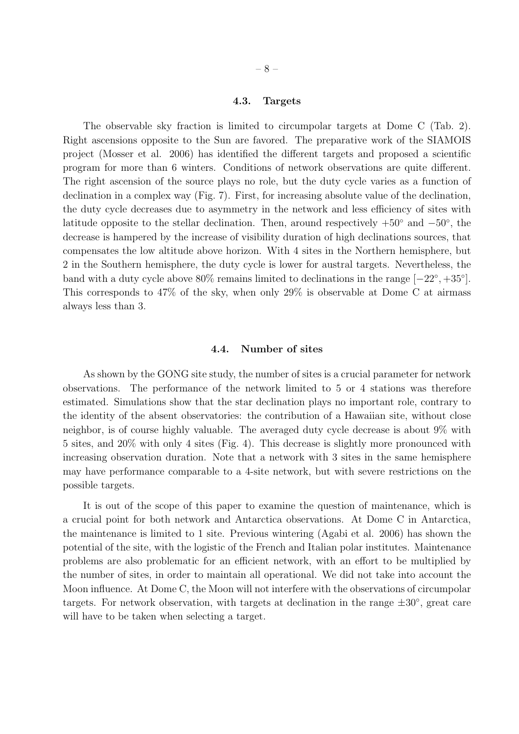### 4.3. Targets

The observable sky fraction is limited to circumpolar targets at Dome C (Tab. 2). Right ascensions opposite to the Sun are favored. The preparative work of the SIAMOIS project (Mosser et al. 2006) has identified the different targets and proposed a scientific program for more than 6 winters. Conditions of network observations are quite different. The right ascension of the source plays no role, but the duty cycle varies as a function of declination in a complex way (Fig. 7). First, for increasing absolute value of the declination, the duty cycle decreases due to asymmetry in the network and less efficiency of sites with latitude opposite to the stellar declination. Then, around respectively  $+50°$  and  $-50°$ , the decrease is hampered by the increase of visibility duration of high declinations sources, that compensates the low altitude above horizon. With 4 sites in the Northern hemisphere, but 2 in the Southern hemisphere, the duty cycle is lower for austral targets. Nevertheless, the band with a duty cycle above  $80\%$  remains limited to declinations in the range  $[-22^{\circ}, +35^{\circ}]$ . This corresponds to 47% of the sky, when only 29% is observable at Dome C at airmass always less than 3.

### 4.4. Number of sites

As shown by the GONG site study, the number of sites is a crucial parameter for network observations. The performance of the network limited to 5 or 4 stations was therefore estimated. Simulations show that the star declination plays no important role, contrary to the identity of the absent observatories: the contribution of a Hawaiian site, without close neighbor, is of course highly valuable. The averaged duty cycle decrease is about 9% with 5 sites, and 20% with only 4 sites (Fig. 4). This decrease is slightly more pronounced with increasing observation duration. Note that a network with 3 sites in the same hemisphere may have performance comparable to a 4-site network, but with severe restrictions on the possible targets.

It is out of the scope of this paper to examine the question of maintenance, which is a crucial point for both network and Antarctica observations. At Dome C in Antarctica, the maintenance is limited to 1 site. Previous wintering (Agabi et al. 2006) has shown the potential of the site, with the logistic of the French and Italian polar institutes. Maintenance problems are also problematic for an efficient network, with an effort to be multiplied by the number of sites, in order to maintain all operational. We did not take into account the Moon influence. At Dome C, the Moon will not interfere with the observations of circumpolar targets. For network observation, with targets at declination in the range  $\pm 30^{\circ}$ , great care will have to be taken when selecting a target.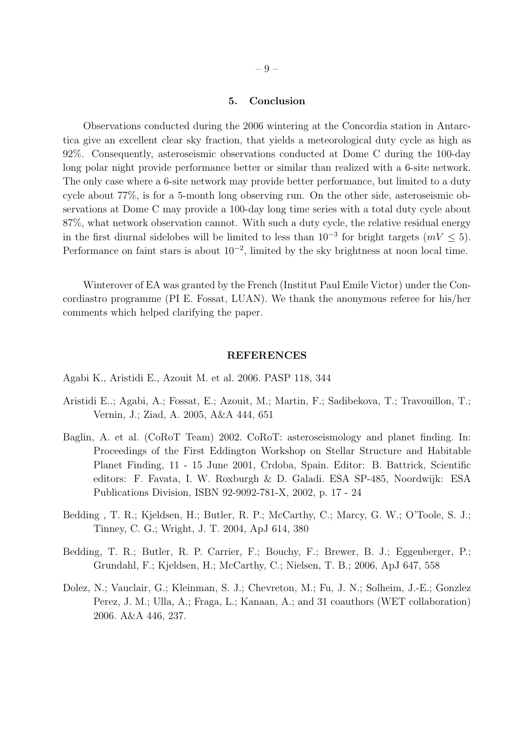# 5. Conclusion

Observations conducted during the 2006 wintering at the Concordia station in Antarctica give an excellent clear sky fraction, that yields a meteorological duty cycle as high as 92%. Consequently, asteroseismic observations conducted at Dome C during the 100-day long polar night provide performance better or similar than realized with a 6-site network. The only case where a 6-site network may provide better performance, but limited to a duty cycle about 77%, is for a 5-month long observing run. On the other side, asteroseismic observations at Dome C may provide a 100-day long time series with a total duty cycle about 87%, what network observation cannot. With such a duty cycle, the relative residual energy in the first diurnal sidelobes will be limited to less than  $10^{-3}$  for bright targets  $(mV \le 5)$ . Performance on faint stars is about  $10^{-2}$ , limited by the sky brightness at noon local time.

Winterover of EA was granted by the French (Institut Paul Emile Victor) under the Concordiastro programme (PI E. Fossat, LUAN). We thank the anonymous referee for his/her comments which helped clarifying the paper.

#### REFERENCES

- Agabi K., Aristidi E., Azouit M. et al. 2006. PASP 118, 344
- Aristidi E..; Agabi, A.; Fossat, E.; Azouit, M.; Martin, F.; Sadibekova, T.; Travouillon, T.; Vernin, J.; Ziad, A. 2005, A&A 444, 651
- Baglin, A. et al. (CoRoT Team) 2002. CoRoT: asteroseismology and planet finding. In: Proceedings of the First Eddington Workshop on Stellar Structure and Habitable Planet Finding, 11 - 15 June 2001, Crdoba, Spain. Editor: B. Battrick, Scientific editors: F. Favata, I. W. Roxburgh & D. Galadi. ESA SP-485, Noordwijk: ESA Publications Division, ISBN 92-9092-781-X, 2002, p. 17 - 24
- Bedding , T. R.; Kjeldsen, H.; Butler, R. P.; McCarthy, C.; Marcy, G. W.; O'Toole, S. J.; Tinney, C. G.; Wright, J. T. 2004, ApJ 614, 380
- Bedding, T. R.; Butler, R. P. Carrier, F.; Bouchy, F.; Brewer, B. J.; Eggenberger, P.; Grundahl, F.; Kjeldsen, H.; McCarthy, C.; Nielsen, T. B.; 2006, ApJ 647, 558
- Dolez, N.; Vauclair, G.; Kleinman, S. J.; Chevreton, M.; Fu, J. N.; Solheim, J.-E.; Gonzlez Perez, J. M.; Ulla, A.; Fraga, L.; Kanaan, A.; and 31 coauthors (WET collaboration) 2006. A&A 446, 237.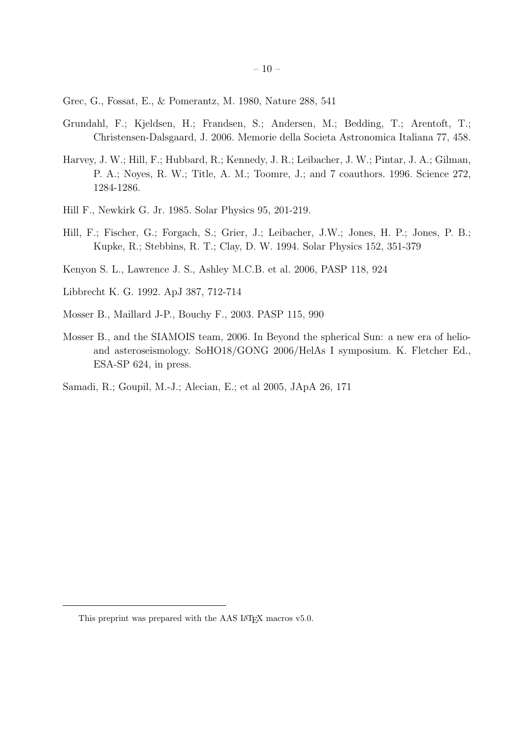Grec, G., Fossat, E., & Pomerantz, M. 1980, Nature 288, 541

- Grundahl, F.; Kjeldsen, H.; Frandsen, S.; Andersen, M.; Bedding, T.; Arentoft, T.; Christensen-Dalsgaard, J. 2006. Memorie della Societa Astronomica Italiana 77, 458.
- Harvey, J. W.; Hill, F.; Hubbard, R.; Kennedy, J. R.; Leibacher, J. W.; Pintar, J. A.; Gilman, P. A.; Noyes, R. W.; Title, A. M.; Toomre, J.; and 7 coauthors. 1996. Science 272, 1284-1286.
- Hill F., Newkirk G. Jr. 1985. Solar Physics 95, 201-219.
- Hill, F.; Fischer, G.; Forgach, S.; Grier, J.; Leibacher, J.W.; Jones, H. P.; Jones, P. B.; Kupke, R.; Stebbins, R. T.; Clay, D. W. 1994. Solar Physics 152, 351-379
- Kenyon S. L., Lawrence J. S., Ashley M.C.B. et al. 2006, PASP 118, 924
- Libbrecht K. G. 1992. ApJ 387, 712-714
- Mosser B., Maillard J-P., Bouchy F., 2003. PASP 115, 990
- Mosser B., and the SIAMOIS team, 2006. In Beyond the spherical Sun: a new era of helioand asteroseismology. SoHO18/GONG 2006/HelAs I symposium. K. Fletcher Ed., ESA-SP 624, in press.
- Samadi, R.; Goupil, M.-J.; Alecian, E.; et al 2005, JApA 26, 171

This preprint was prepared with the AAS IATEX macros v5.0.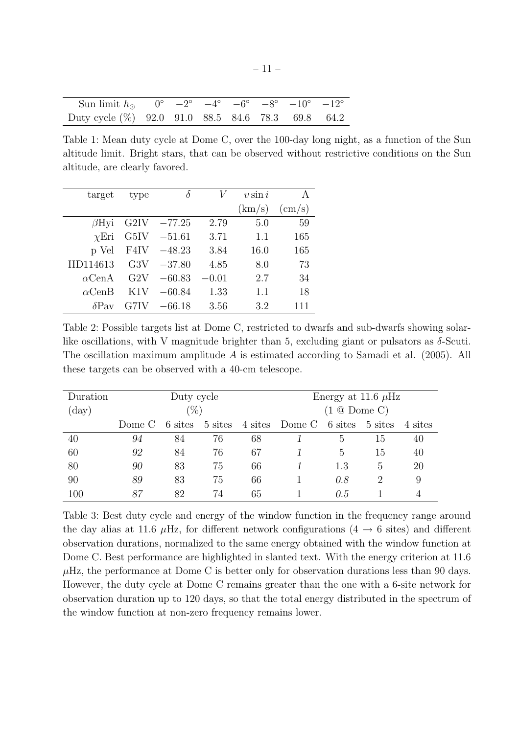| Sun limit $h_{\odot}$ 0° $-2^{\circ}$ $-4^{\circ}$ $-6^{\circ}$ $-8^{\circ}$ $-10^{\circ}$ $-12^{\circ}$ |  |  |  |  |
|----------------------------------------------------------------------------------------------------------|--|--|--|--|
| Duty cycle $(\%)$ 92.0 91.0 88.5 84.6 78.3 69.8 64.2                                                     |  |  |  |  |

Table 1: Mean duty cycle at Dome C, over the 100-day long night, as a function of the Sun altitude limit. Bright stars, that can be observed without restrictive conditions on the Sun altitude, are clearly favored.

| target        | type              | $\delta$ |         | $v \sin i$ | А            |
|---------------|-------------------|----------|---------|------------|--------------|
|               |                   |          |         | (km/s)     | $\rm (cm/s)$ |
| $\beta$ Hyi   | G <sub>2</sub> IV | $-77.25$ | 2.79    | 5.0        | 59           |
| $\chi$ Eri    | G5IV              | $-51.61$ | 3.71    | 1.1        | 165          |
| p Vel         | F4IV              | $-48.23$ | 3.84    | 16.0       | 165          |
| HD114613      | G3V               | $-37.80$ | 4.85    | 8.0        | 73           |
| $\alpha$ CenA | G2V               | $-60.83$ | $-0.01$ | 2.7        | 34           |
| $\alpha$ CenB | K1V               | $-60.84$ | 1.33    | 1.1        | 18           |
| $\delta$ Pav  | G7IV              | $-66.18$ | 3.56    | 3.2        | 111          |

Table 2: Possible targets list at Dome C, restricted to dwarfs and sub-dwarfs showing solarlike oscillations, with V magnitude brighter than 5, excluding giant or pulsators as  $\delta$ -Scuti. The oscillation maximum amplitude A is estimated according to Samadi et al. (2005). All these targets can be observed with a 40-cm telescope.

| Duration       | Duty cycle |         |         |         | Energy at 11.6 $\mu$ Hz |            |                 |         |
|----------------|------------|---------|---------|---------|-------------------------|------------|-----------------|---------|
| $(\text{day})$ | $(\%)$     |         |         |         | $(1 \otimes$ Dome C)    |            |                 |         |
|                | Dome C     | 6 sites | 5 sites | 4 sites | Dome C                  | 6 sites    | 5 sites         | 4 sites |
| 40             | 94         | 84      | 76      | 68      |                         | $\ddot{c}$ | -15             | 40      |
| 60             | 92         | 84      | 76      | 67      |                         | 5          | 15              | 40      |
| 80             | 90         | 83      | 75      | 66      |                         | 1.3        | $\ddot{\Omega}$ | 20      |
| 90             | 89         | 83      | 75      | 66      |                         | 0.8        | 2               | 9       |
| $100\,$        | 87         | 82      | 74      | 65      |                         | 0.5        |                 |         |

Table 3: Best duty cycle and energy of the window function in the frequency range around the day alias at 11.6  $\mu$ Hz, for different network configurations (4  $\rightarrow$  6 sites) and different observation durations, normalized to the same energy obtained with the window function at Dome C. Best performance are highlighted in slanted text. With the energy criterion at 11.6  $\mu$ Hz, the performance at Dome C is better only for observation durations less than 90 days. However, the duty cycle at Dome C remains greater than the one with a 6-site network for observation duration up to 120 days, so that the total energy distributed in the spectrum of the window function at non-zero frequency remains lower.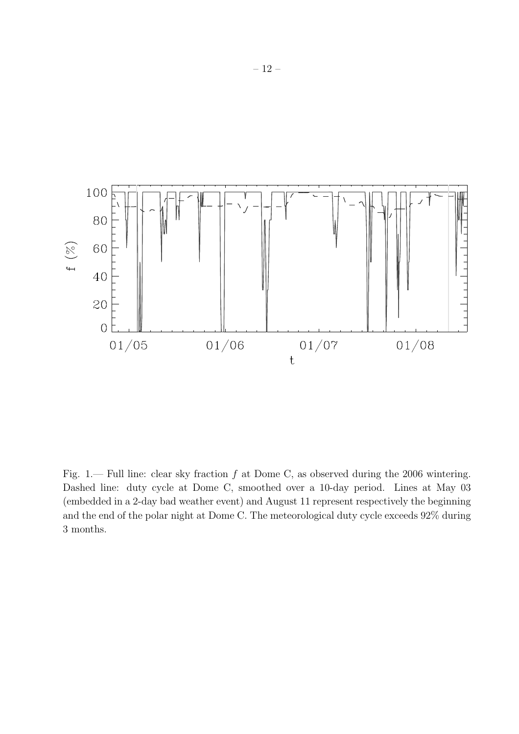

Fig. 1.— Full line: clear sky fraction  $f$  at Dome C, as observed during the 2006 wintering. Dashed line: duty cycle at Dome C, smoothed over a 10-day period. Lines at May 03 (embedded in a 2-day bad weather event) and August 11 represent respectively the beginning and the end of the polar night at Dome C. The meteorological duty cycle exceeds 92% during 3 months.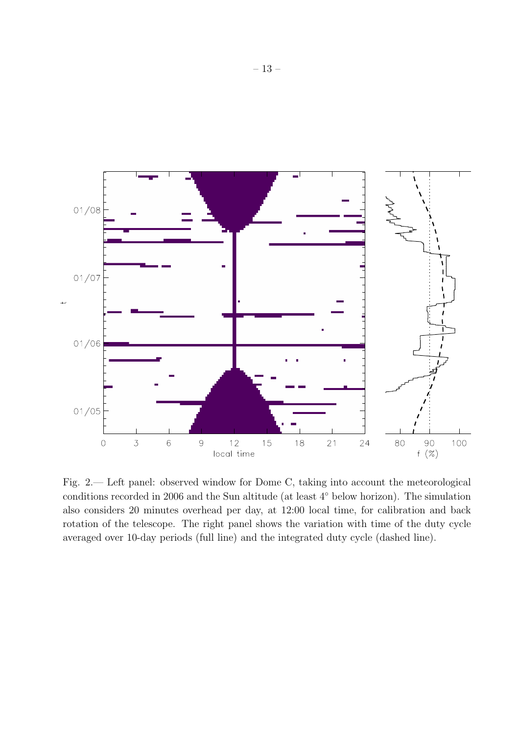

Fig. 2.— Left panel: observed window for Dome C, taking into account the meteorological conditions recorded in 2006 and the Sun altitude (at least 4◦ below horizon). The simulation also considers 20 minutes overhead per day, at 12:00 local time, for calibration and back rotation of the telescope. The right panel shows the variation with time of the duty cycle averaged over 10-day periods (full line) and the integrated duty cycle (dashed line).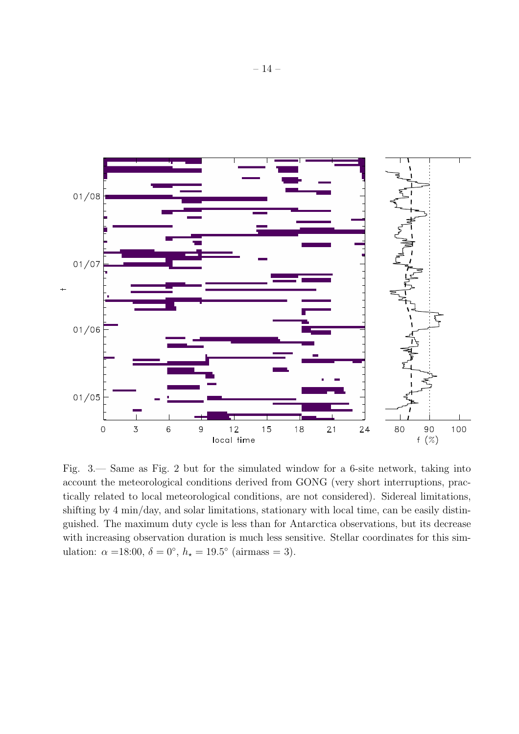

Fig. 3.— Same as Fig. 2 but for the simulated window for a 6-site network, taking into account the meteorological conditions derived from GONG (very short interruptions, practically related to local meteorological conditions, are not considered). Sidereal limitations, shifting by 4 min/day, and solar limitations, stationary with local time, can be easily distinguished. The maximum duty cycle is less than for Antarctica observations, but its decrease with increasing observation duration is much less sensitive. Stellar coordinates for this simulation:  $\alpha = 18:00, \delta = 0^{\circ}, h_{\star} = 19.5^{\circ}$  (airmass = 3).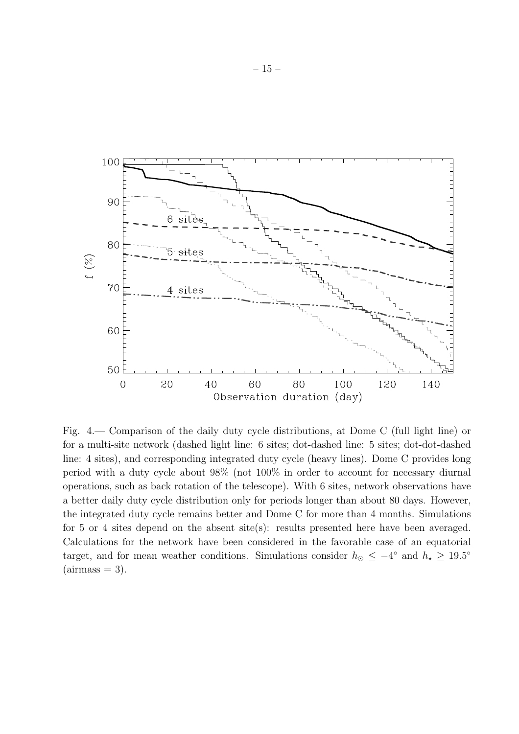

Fig. 4.— Comparison of the daily duty cycle distributions, at Dome C (full light line) or for a multi-site network (dashed light line: 6 sites; dot-dashed line: 5 sites; dot-dot-dashed line: 4 sites), and corresponding integrated duty cycle (heavy lines). Dome C provides long period with a duty cycle about 98% (not 100% in order to account for necessary diurnal operations, such as back rotation of the telescope). With 6 sites, network observations have a better daily duty cycle distribution only for periods longer than about 80 days. However, the integrated duty cycle remains better and Dome C for more than 4 months. Simulations for 5 or 4 sites depend on the absent site(s): results presented here have been averaged. Calculations for the network have been considered in the favorable case of an equatorial target, and for mean weather conditions. Simulations consider  $h_{\odot} \leq -4^{\circ}$  and  $h_{\star} \geq 19.5^{\circ}$  $(airmass = 3).$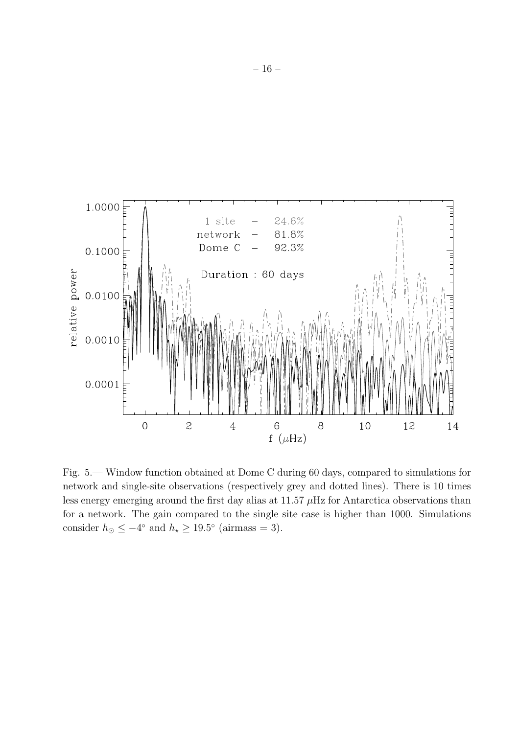

Fig. 5.— Window function obtained at Dome C during 60 days, compared to simulations for network and single-site observations (respectively grey and dotted lines). There is 10 times less energy emerging around the first day alias at  $11.57 \mu$ Hz for Antarctica observations than for a network. The gain compared to the single site case is higher than 1000. Simulations consider  $h_{\odot} \le -4^{\circ}$  and  $h_{\star} \ge 19.5^{\circ}$  (airmass = 3).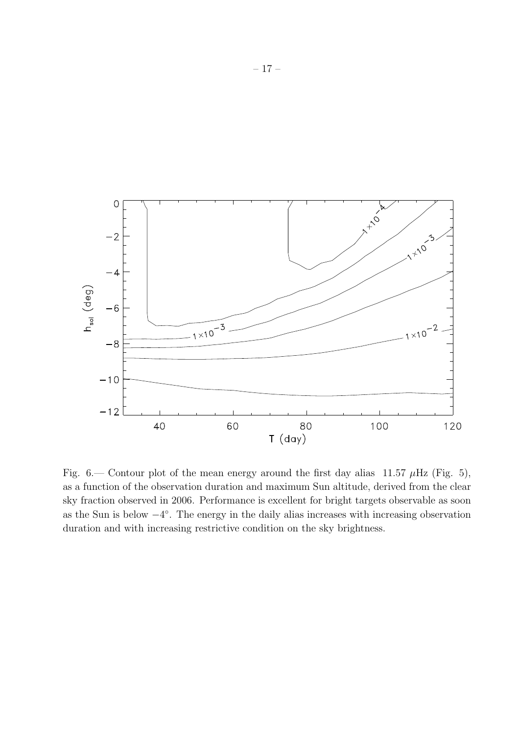

Fig. 6.— Contour plot of the mean energy around the first day alias 11.57  $\mu$ Hz (Fig. 5), as a function of the observation duration and maximum Sun altitude, derived from the clear sky fraction observed in 2006. Performance is excellent for bright targets observable as soon as the Sun is below  $-4^{\circ}$ . The energy in the daily alias increases with increasing observation duration and with increasing restrictive condition on the sky brightness.